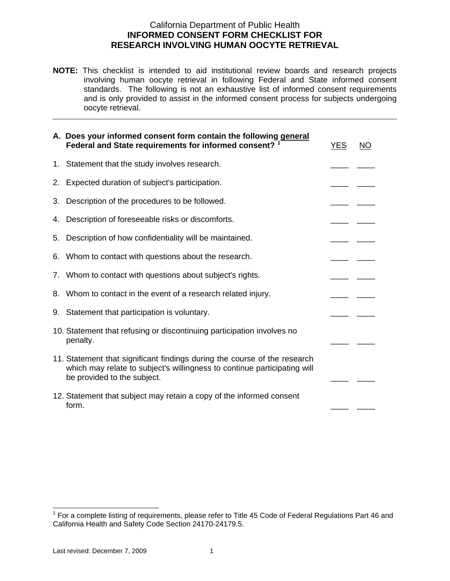## RESEARCH INVOLVING HUMAN OOCYTE RETRIEVAL California Department of Public Health **INFORMED CONSENT FORM CHECKLIST FOR**

**NOTE:** This checklist is intended to aid institutional review boards and research projects involving human oocyte retrieval in following Federal and State informed consent standards. The following is not an exhaustive list of informed consent requirements and is only provided to assist in the informed consent process for subjects undergoing oocyte retrieval.

|    | A. Does your informed consent form contain the following general<br>Federal and State requirements for informed consent? <sup>1</sup>                                                | <b>YES</b> | NO |
|----|--------------------------------------------------------------------------------------------------------------------------------------------------------------------------------------|------------|----|
| 1. | Statement that the study involves research.                                                                                                                                          |            |    |
| 2. | Expected duration of subject's participation.                                                                                                                                        |            |    |
| 3. | Description of the procedures to be followed.                                                                                                                                        |            |    |
| 4. | Description of foreseeable risks or discomforts.                                                                                                                                     |            |    |
| 5. | Description of how confidentiality will be maintained.                                                                                                                               |            |    |
| 6. | Whom to contact with questions about the research.                                                                                                                                   |            |    |
| 7. | Whom to contact with questions about subject's rights.                                                                                                                               |            |    |
| 8. | Whom to contact in the event of a research related injury.                                                                                                                           |            |    |
|    | 9. Statement that participation is voluntary.                                                                                                                                        |            |    |
|    | 10. Statement that refusing or discontinuing participation involves no<br>penalty.                                                                                                   |            |    |
|    | 11. Statement that significant findings during the course of the research<br>which may relate to subject's willingness to continue participating will<br>be provided to the subject. |            |    |
|    | 12. Statement that subject may retain a copy of the informed consent<br>form.                                                                                                        |            |    |

<span id="page-0-0"></span><sup>————————————————————&</sup>lt;br><sup>1</sup> For a complete listing of requirements, please refer to Title 45 Code of Federal Regulations Part 46 and California Health and Safety Code Section 24170-24179.5.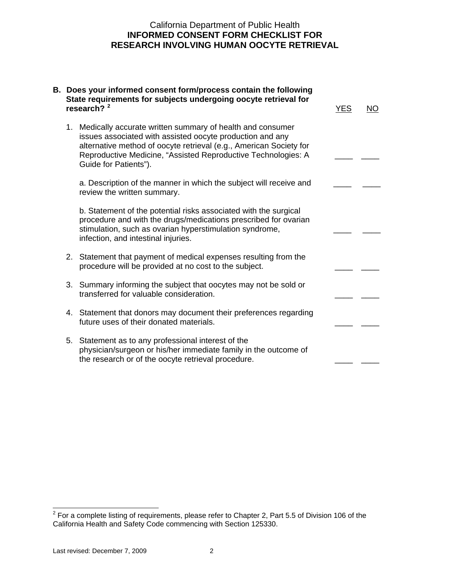## California Department of Public Health **INFORMED CONSENT FORM CHECKLIST FOR**

| <b>RESEARCH INVOLVING HUMAN OOCYTE RETRIEVAL</b> |                                                                                                                                                                                                                                                                                           |            |    |  |  |
|--------------------------------------------------|-------------------------------------------------------------------------------------------------------------------------------------------------------------------------------------------------------------------------------------------------------------------------------------------|------------|----|--|--|
|                                                  | B. Does your informed consent form/process contain the following<br>State requirements for subjects undergoing oocyte retrieval for<br>research? $2^2$                                                                                                                                    | <b>YES</b> | NO |  |  |
|                                                  | 1. Medically accurate written summary of health and consumer<br>issues associated with assisted oocyte production and any<br>alternative method of oocyte retrieval (e.g., American Society for<br>Reproductive Medicine, "Assisted Reproductive Technologies: A<br>Guide for Patients"). |            |    |  |  |
|                                                  | a. Description of the manner in which the subject will receive and<br>review the written summary.                                                                                                                                                                                         |            |    |  |  |
|                                                  | b. Statement of the potential risks associated with the surgical<br>procedure and with the drugs/medications prescribed for ovarian<br>stimulation, such as ovarian hyperstimulation syndrome,<br>infection, and intestinal injuries.                                                     |            |    |  |  |
|                                                  | 2. Statement that payment of medical expenses resulting from the<br>procedure will be provided at no cost to the subject.                                                                                                                                                                 |            |    |  |  |
|                                                  | 3. Summary informing the subject that oocytes may not be sold or<br>transferred for valuable consideration.                                                                                                                                                                               |            |    |  |  |
|                                                  | 4. Statement that donors may document their preferences regarding<br>future uses of their donated materials.                                                                                                                                                                              |            |    |  |  |
|                                                  | 5. Statement as to any professional interest of the<br>physician/surgeon or his/her immediate family in the outcome of<br>the research or of the oocyte retrieval procedure.                                                                                                              |            |    |  |  |
|                                                  |                                                                                                                                                                                                                                                                                           |            |    |  |  |

<span id="page-1-0"></span> 2 For a complete listing of requirements, please refer to Chapter 2, Part 5.5 of Division 106 of the California Health and Safety Code commencing with Section 125330.